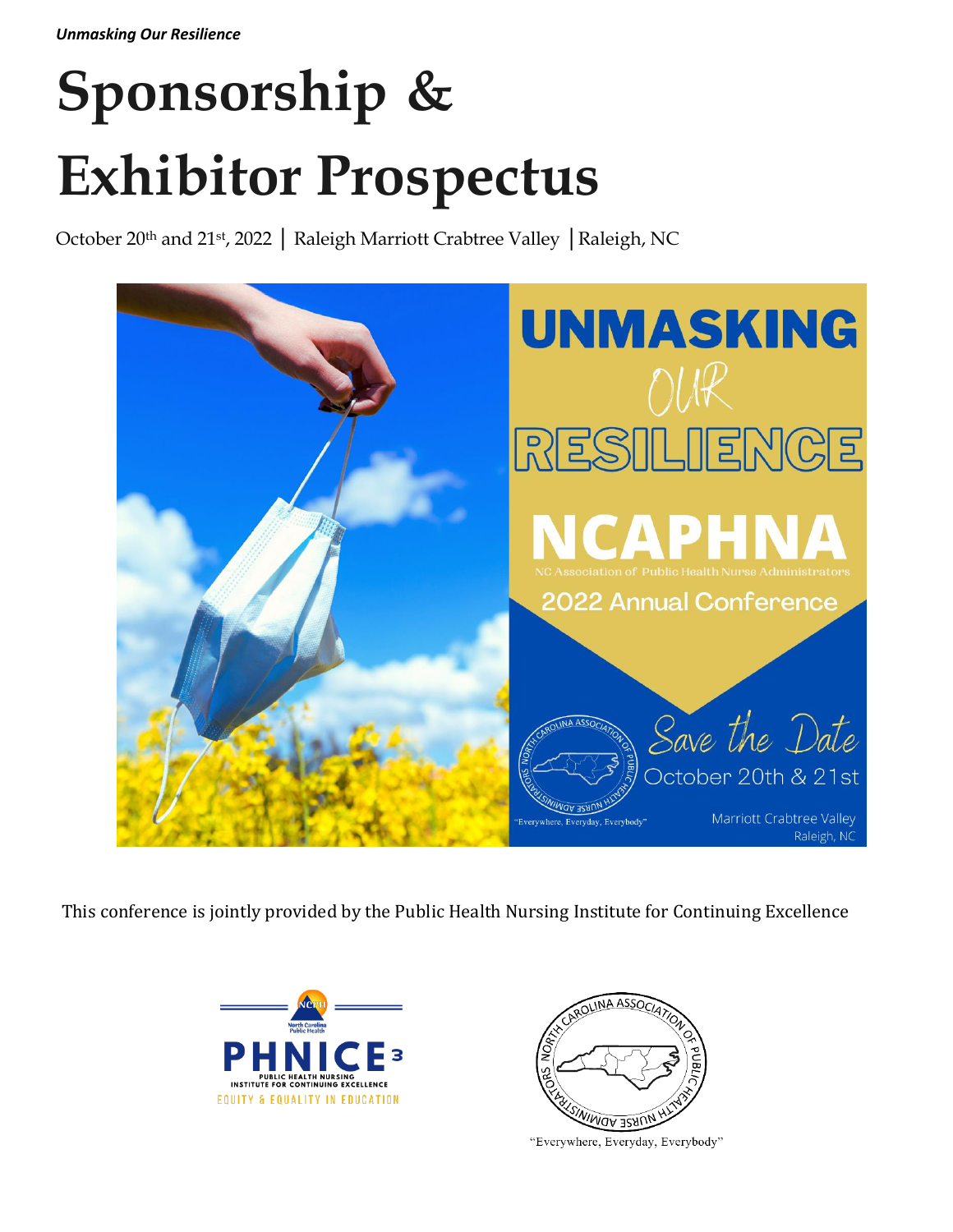# **Sponsorship & Exhibitor Prospectus**

October 20<sup>th</sup> and 21st, 2022 | Raleigh Marriott Crabtree Valley |Raleigh, NC



This conference is jointly provided by the Public Health Nursing Institute for Continuing Excellence





"Everywhere, Everyday, Everybody"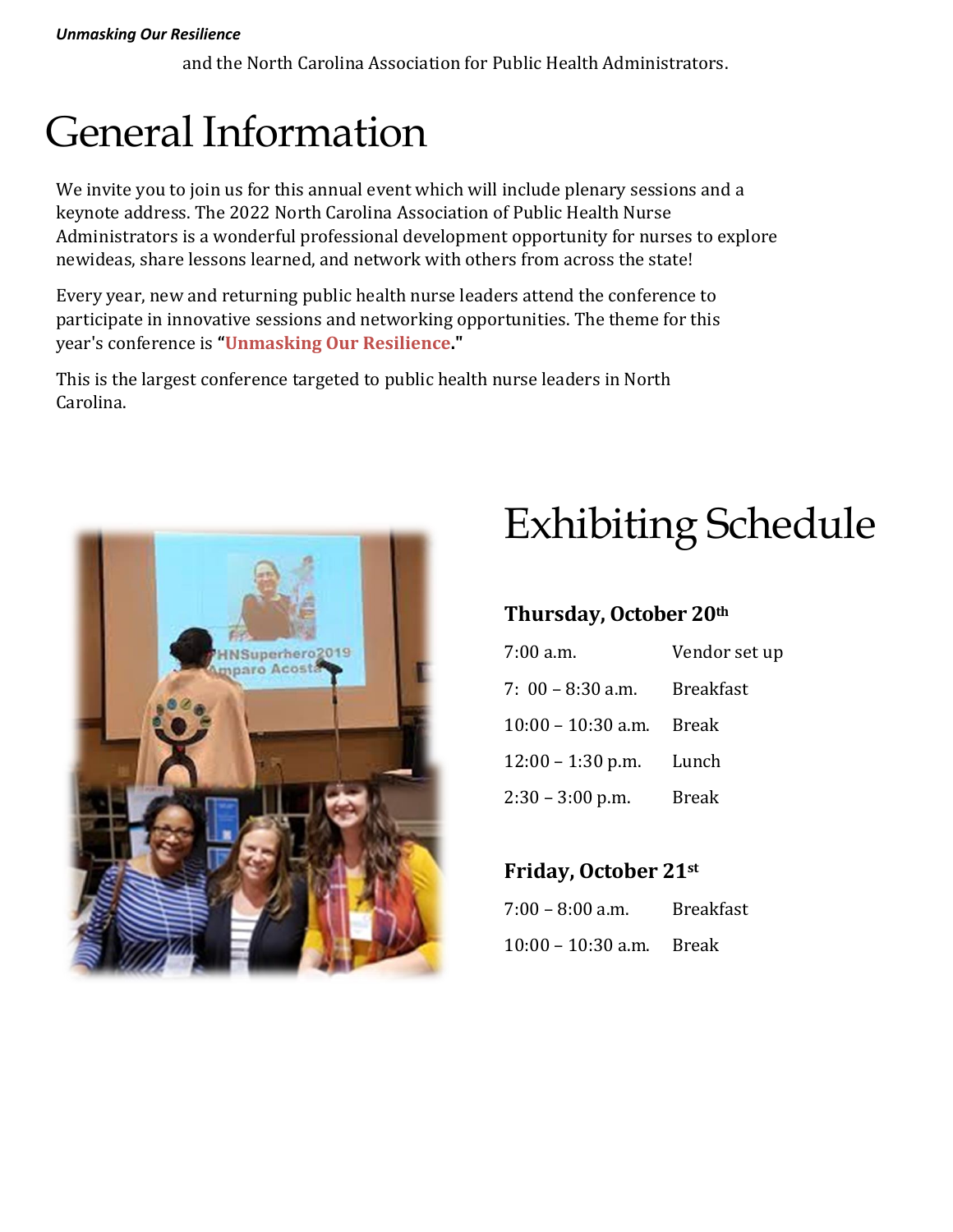#### *Unmasking Our Resilience*

and the North Carolina Association for Public Health Administrators.

# General Information

We invite you to join us for this annual event which will include plenary sessions and a keynote address. The 2022 North Carolina Association of Public Health Nurse Administrators is a wonderful professional development opportunity for nurses to explore newideas, share lessons learned, and network with others from across the state!

Every year, new and returning public health nurse leaders attend the conference to participate in innovative sessions and networking opportunities. The theme for this year's conference is **"Unmasking Our Resilience."**

This is the largest conference targeted to public health nurse leaders in North Carolina.



# Exhibiting Schedule

# **Thursday, October 20th**

| $7:00$ a.m.          | Vendor set up    |
|----------------------|------------------|
| $7: 00 - 8:30$ a.m.  | <b>Breakfast</b> |
| $10:00 - 10:30$ a.m. | Break            |
| $12:00 - 1:30$ p.m.  | Lunch            |
| $2:30 - 3:00$ p.m.   | <b>Break</b>     |

# **Friday, October 21st**

| $7:00 - 8:00$ a.m.         | <b>Breakfast</b> |  |
|----------------------------|------------------|--|
| $10:00 - 10:30$ a.m. Break |                  |  |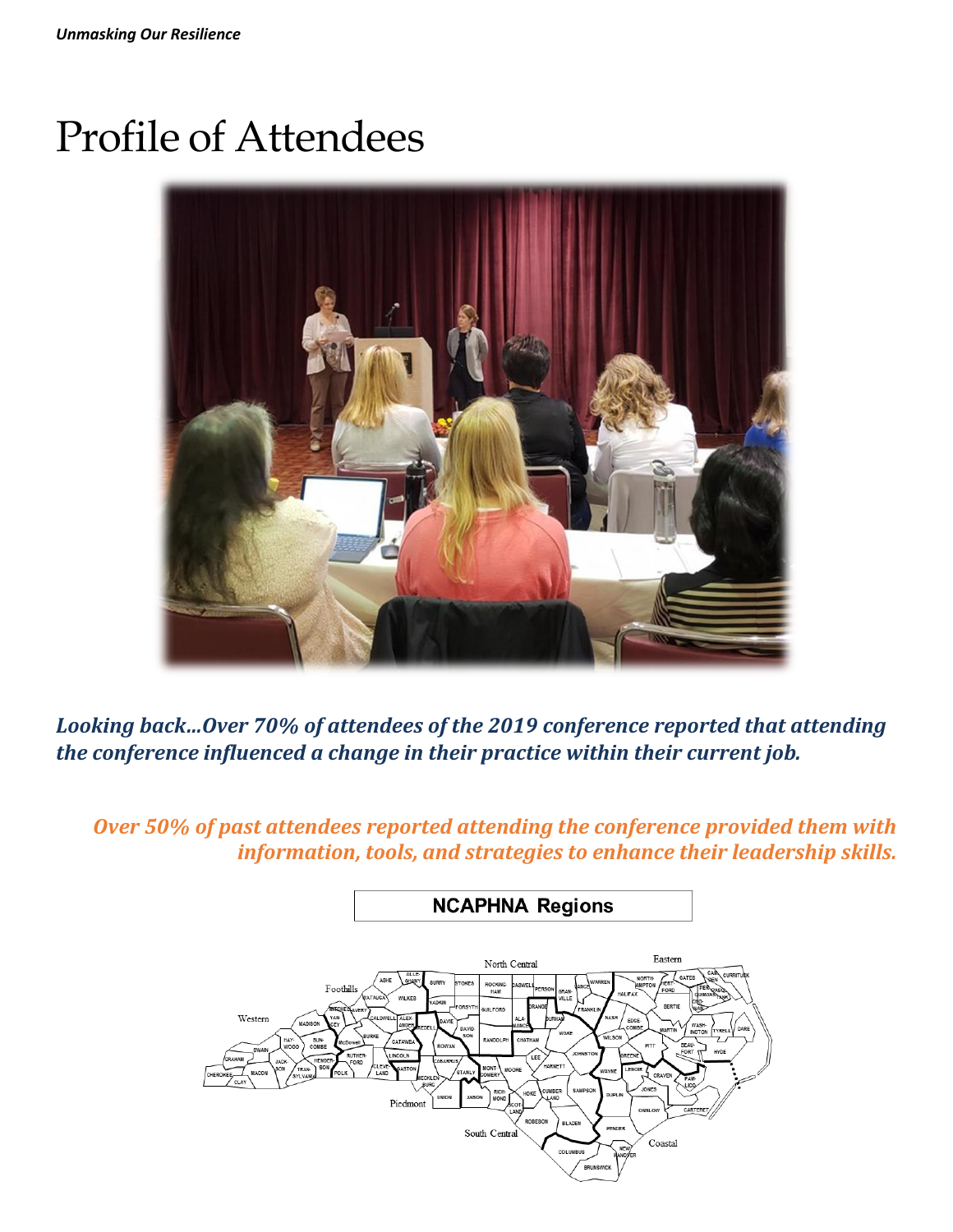# Profile of Attendees



*Looking back…Over 70% of attendees of the 2019 conference reported that attending the conference influenced a change in their practice within their current job.*

*Over 50% of past attendees reported attending the conference provided them with information, tools, and strategies to enhance their leadership skills.*

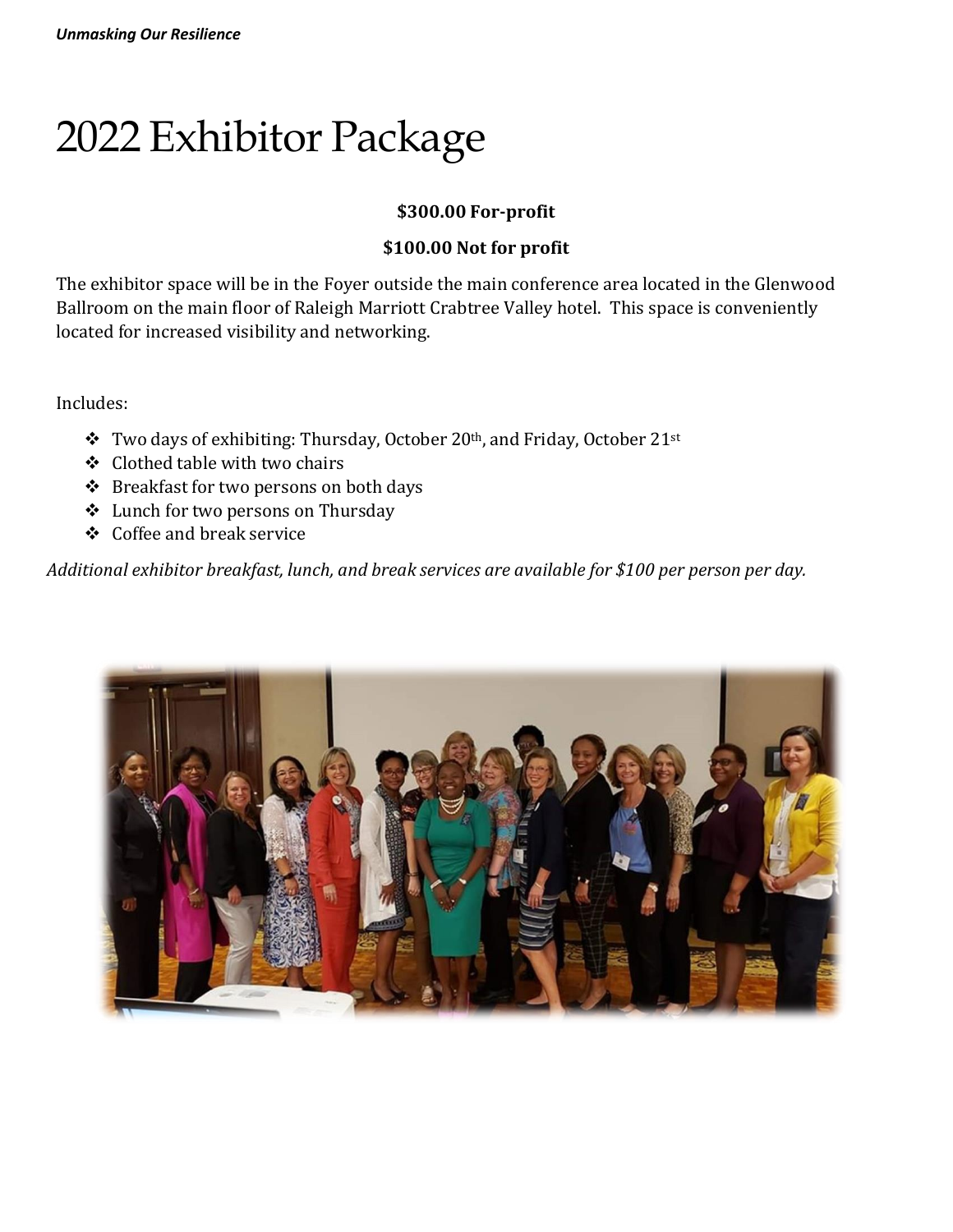# 2022 Exhibitor Package

# **\$300.00 For-profit**

## **\$100.00 Not for profit**

The exhibitor space will be in the Foyer outside the main conference area located in the Glenwood Ballroom on the main floor of Raleigh Marriott Crabtree Valley hotel. This space is conveniently located for increased visibility and networking.

Includes:

- ❖ Two days of exhibiting: Thursday, October 20th, and Friday, October 21st
- ❖ Clothed table with two chairs
- ❖ Breakfast for two persons on both days
- ❖ Lunch for two persons on Thursday
- ❖ Coffee and break service

*Additional exhibitor breakfast, lunch, and break services are available for \$100 per person per day.*

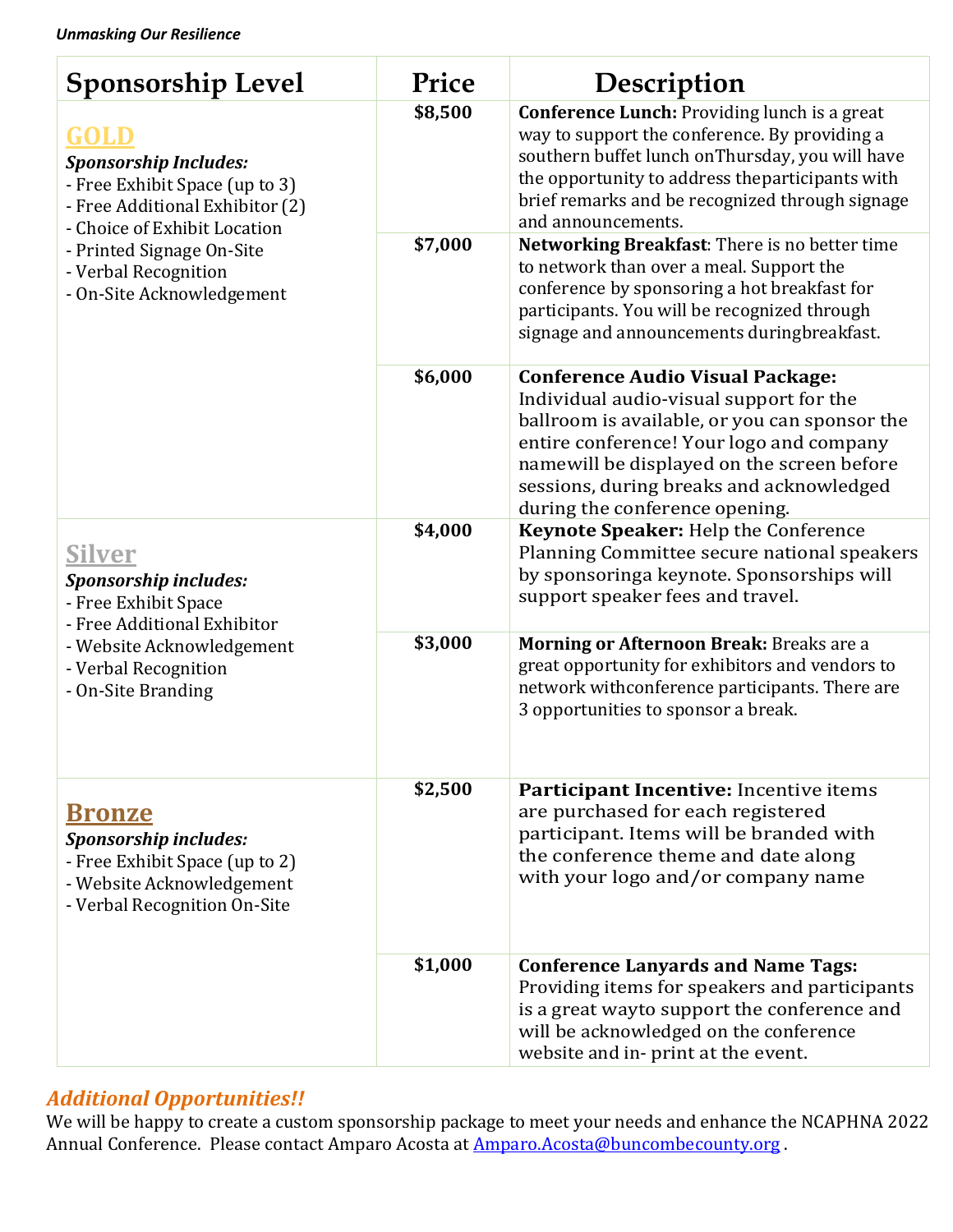| <b>Sponsorship Level</b>                                                                                                                                                                                                    | Price   | Description                                                                                                                                                                                                                                                                                                 |
|-----------------------------------------------------------------------------------------------------------------------------------------------------------------------------------------------------------------------------|---------|-------------------------------------------------------------------------------------------------------------------------------------------------------------------------------------------------------------------------------------------------------------------------------------------------------------|
| GOLD<br><b>Sponsorship Includes:</b><br>- Free Exhibit Space (up to 3)<br>- Free Additional Exhibitor (2)<br>- Choice of Exhibit Location<br>- Printed Signage On-Site<br>- Verbal Recognition<br>- On-Site Acknowledgement | \$8,500 | <b>Conference Lunch: Providing lunch is a great</b><br>way to support the conference. By providing a<br>southern buffet lunch on Thursday, you will have<br>the opportunity to address theparticipants with<br>brief remarks and be recognized through signage<br>and announcements.                        |
|                                                                                                                                                                                                                             | \$7,000 | Networking Breakfast: There is no better time<br>to network than over a meal. Support the<br>conference by sponsoring a hot breakfast for<br>participants. You will be recognized through<br>signage and announcements duringbreakfast.                                                                     |
|                                                                                                                                                                                                                             | \$6,000 | <b>Conference Audio Visual Package:</b><br>Individual audio-visual support for the<br>ballroom is available, or you can sponsor the<br>entire conference! Your logo and company<br>namewill be displayed on the screen before<br>sessions, during breaks and acknowledged<br>during the conference opening. |
| <u>Silver</u><br><b>Sponsorship includes:</b><br>- Free Exhibit Space<br>- Free Additional Exhibitor<br>- Website Acknowledgement<br>- Verbal Recognition<br>- On-Site Branding                                             | \$4,000 | Keynote Speaker: Help the Conference<br>Planning Committee secure national speakers<br>by sponsoringa keynote. Sponsorships will<br>support speaker fees and travel.                                                                                                                                        |
|                                                                                                                                                                                                                             | \$3,000 | Morning or Afternoon Break: Breaks are a<br>great opportunity for exhibitors and vendors to<br>network withconference participants. There are<br>3 opportunities to sponsor a break.                                                                                                                        |
| <b>Bronze</b><br><b>Sponsorship includes:</b><br>- Free Exhibit Space (up to 2)<br>- Website Acknowledgement<br>- Verbal Recognition On-Site                                                                                | \$2,500 | Participant Incentive: Incentive items<br>are purchased for each registered<br>participant. Items will be branded with<br>the conference theme and date along<br>with your logo and/or company name                                                                                                         |
|                                                                                                                                                                                                                             | \$1,000 | <b>Conference Lanyards and Name Tags:</b><br>Providing items for speakers and participants<br>is a great wayto support the conference and<br>will be acknowledged on the conference<br>website and in- print at the event.                                                                                  |

# *Additional Opportunities!!*

We will be happy to create a custom sponsorship package to meet your needs and enhance the NCAPHNA 2022 Annual Conference. Please contact Amparo Acosta at <u>Amparo.Acosta@buncombecounty.or</u>g .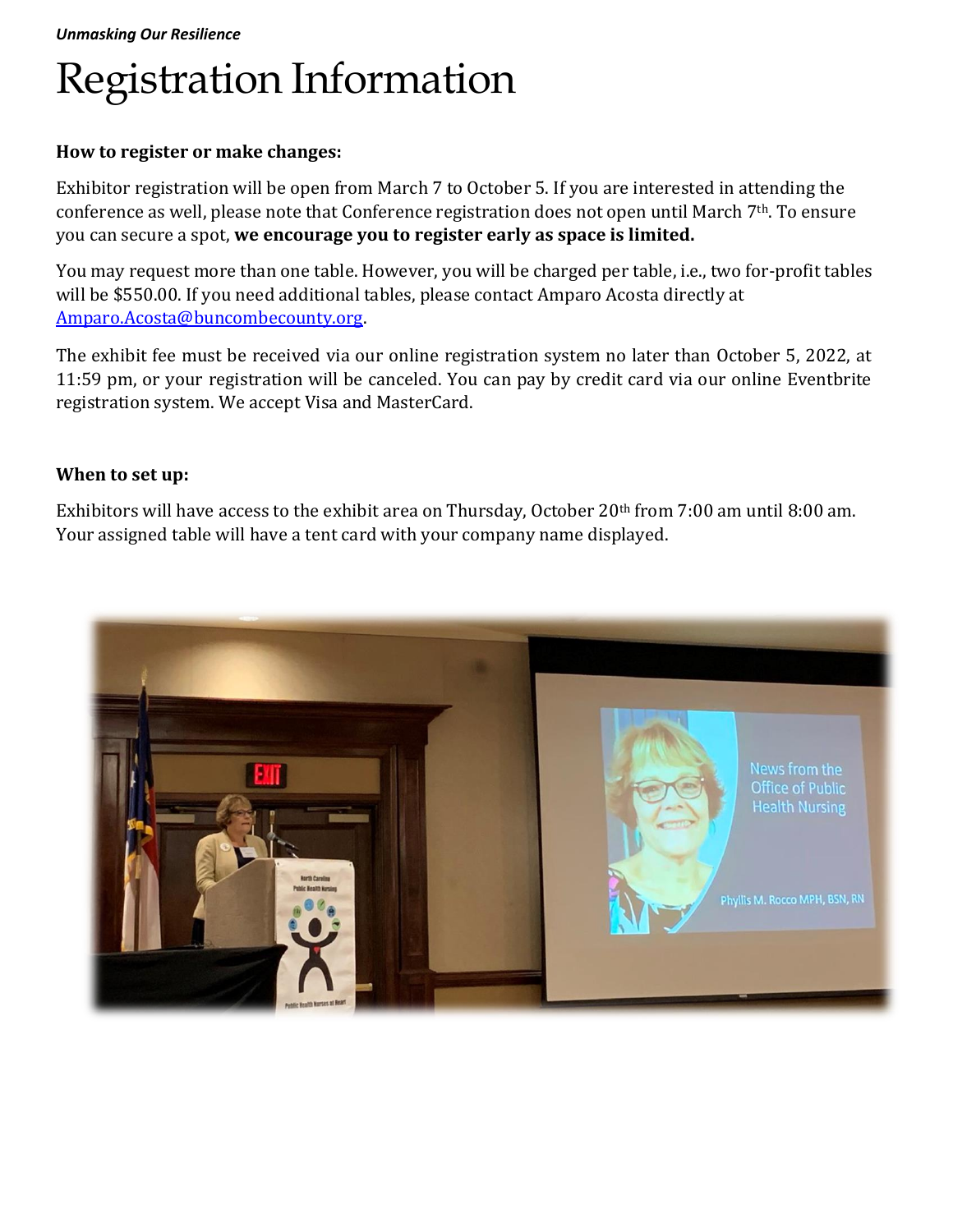# Registration Information

### **How to register or make changes:**

Exhibitor registration will be open from March 7 to October 5. If you are interested in attending the conference as well, please note that Conference registration does not open until March 7<sup>th</sup>. To ensure you can secure a spot, **we encourage you to register early as space is limited.**

You may request more than one table. However, you will be charged per table, i.e., two for-profit tables will be \$550.00. If you need additional tables, please contact Amparo Acosta directly at [Amparo.Acosta@buncombecounty.org.](mailto:Amparo.Acosta@buncombecounty.org)

The exhibit fee must be received via our online registration system no later than October 5, 2022, at 11:59 pm, or your registration will be canceled. You can pay by credit card via our online Eventbrite registration system. We accept Visa and MasterCard.

### **When to set up:**

Exhibitors will have access to the exhibit area on Thursday, October 20th from 7:00 am until 8:00 am. Your assigned table will have a tent card with your company name displayed.